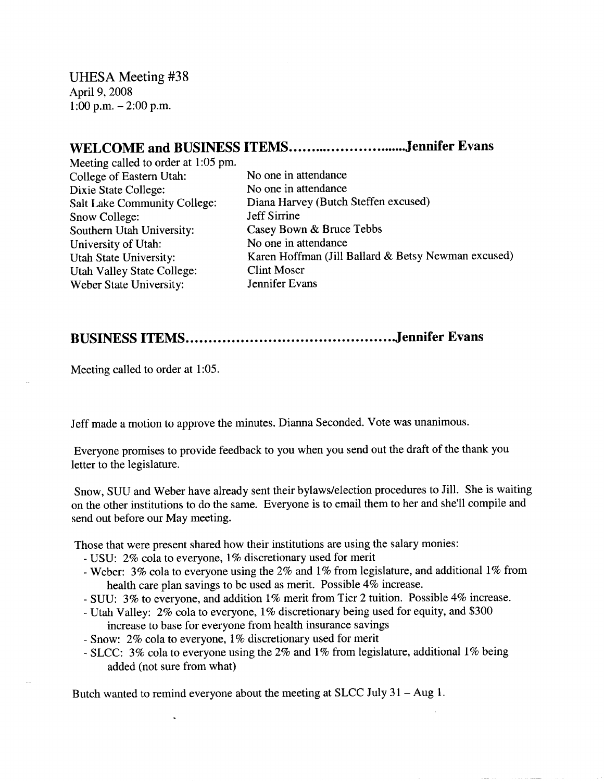UHESA Meeting #38 April 9, 2008 1:00 p.m.-2:00 p.m.

## WELCOME and BUSINESS ITEMS..............................Jennifer Evans

Meeting called to order at 1:05 pm. College of Eastern Utah: No one in attendance Dixie State College: No one in attendance Snow College: Jeff Sirrine Southern Utah University: Casey Bown & Bruce Tebbs University of Utah: No one in attendance Utah Valley State College: Clint Moser Weber State University: Jennifer Evans

Salt Lake Community College: Diana Harvey (Butch Steffen excused) Utah State University: Karen Hoffman (Jill Ballard & Betsy Newman excused)

## **BUSINESS ITEMS Jennifer Evans**

Meeting called to order at 1:05.

Jeff made a motion to approve the minutes. Dianna Seconded. Vote was unanimous.

Everyone promises to provide feedback to you when you send out the draft of the thank you letter to the legislature.

Snow, SUU and Weber have already sent their bylaws/election procedures to Jill. She is waiting on the other institutions to do the same. Everyone is to email them to her and she'll compile and send out before our May meeting.

Those that were present shared how their institutions are using the salary monies:

- USU: 2% cola to everyone, 1% discretionary used for merit
- Weber: 3% cola to everyone using the 2% and 1% from legislature, and additional 1% from health care plan savings to be used as merit. Possible 4% increase.
- SUU: 3% to everyone, and addition 1% merit from Tier 2 tuition. Possible 4% increase.
- Utah Valley: 2% cola to everyone, 1% discretionary being used for equity, and \$300 increase to base for everyone from health insurance savings
- Snow: 2% cola to everyone, 1% discretionary used for merit
- SLCC: 3% cola to everyone using the 2% and 1% from legislature, additional 1% being added (not sure from what)

Butch wanted to remind everyone about the meeting at SLCC July 31 - Aug 1.